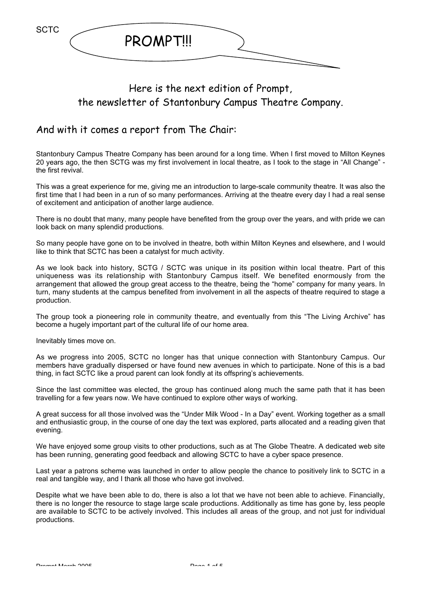

## Here is the next edition of Prompt, the newsletter of Stantonbury Campus Theatre Company.

### And with it comes a report from The Chair:

Stantonbury Campus Theatre Company has been around for a long time. When I first moved to Milton Keynes 20 years ago, the then SCTG was my first involvement in local theatre, as I took to the stage in "All Change" the first revival.

This was a great experience for me, giving me an introduction to large-scale community theatre. It was also the first time that I had been in a run of so many performances. Arriving at the theatre every day I had a real sense of excitement and anticipation of another large audience.

There is no doubt that many, many people have benefited from the group over the years, and with pride we can look back on many splendid productions.

So many people have gone on to be involved in theatre, both within Milton Keynes and elsewhere, and I would like to think that SCTC has been a catalyst for much activity.

As we look back into history, SCTG / SCTC was unique in its position within local theatre. Part of this uniqueness was its relationship with Stantonbury Campus itself. We benefited enormously from the arrangement that allowed the group great access to the theatre, being the "home" company for many years. In turn, many students at the campus benefited from involvement in all the aspects of theatre required to stage a production.

The group took a pioneering role in community theatre, and eventually from this "The Living Archive" has become a hugely important part of the cultural life of our home area.

Inevitably times move on.

As we progress into 2005, SCTC no longer has that unique connection with Stantonbury Campus. Our members have gradually dispersed or have found new avenues in which to participate. None of this is a bad thing, in fact SCTC like a proud parent can look fondly at its offspring's achievements.

Since the last committee was elected, the group has continued along much the same path that it has been travelling for a few years now. We have continued to explore other ways of working.

A great success for all those involved was the "Under Milk Wood - In a Day" event. Working together as a small and enthusiastic group, in the course of one day the text was explored, parts allocated and a reading given that evening.

We have enjoyed some group visits to other productions, such as at The Globe Theatre. A dedicated web site has been running, generating good feedback and allowing SCTC to have a cyber space presence.

Last year a patrons scheme was launched in order to allow people the chance to positively link to SCTC in a real and tangible way, and I thank all those who have got involved.

Despite what we have been able to do, there is also a lot that we have not been able to achieve. Financially, there is no longer the resource to stage large scale productions. Additionally as time has gone by, less people are available to SCTC to be actively involved. This includes all areas of the group, and not just for individual productions.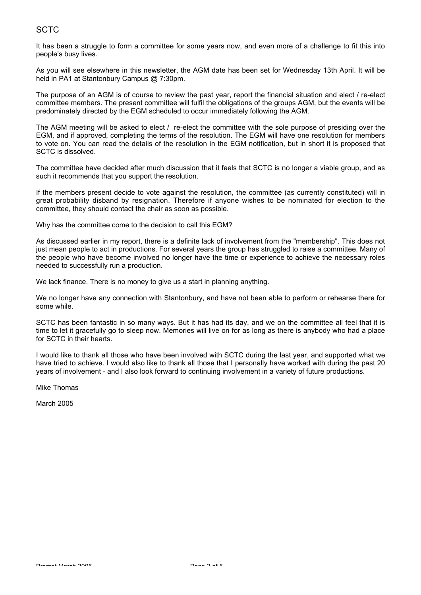#### **SCTC**

It has been a struggle to form a committee for some years now, and even more of a challenge to fit this into people's busy lives.

As you will see elsewhere in this newsletter, the AGM date has been set for Wednesday 13th April. It will be held in PA1 at Stantonbury Campus @ 7:30pm.

The purpose of an AGM is of course to review the past year, report the financial situation and elect / re-elect committee members. The present committee will fulfil the obligations of the groups AGM, but the events will be predominately directed by the EGM scheduled to occur immediately following the AGM.

The AGM meeting will be asked to elect / re-elect the committee with the sole purpose of presiding over the EGM, and if approved, completing the terms of the resolution. The EGM will have one resolution for members to vote on. You can read the details of the resolution in the EGM notification, but in short it is proposed that SCTC is dissolved.

The committee have decided after much discussion that it feels that SCTC is no longer a viable group, and as such it recommends that you support the resolution.

If the members present decide to vote against the resolution, the committee (as currently constituted) will in great probability disband by resignation. Therefore if anyone wishes to be nominated for election to the committee, they should contact the chair as soon as possible.

Why has the committee come to the decision to call this EGM?

As discussed earlier in my report, there is a definite lack of involvement from the "membership". This does not just mean people to act in productions. For several years the group has struggled to raise a committee. Many of the people who have become involved no longer have the time or experience to achieve the necessary roles needed to successfully run a production.

We lack finance. There is no money to give us a start in planning anything.

We no longer have any connection with Stantonbury, and have not been able to perform or rehearse there for some while.

SCTC has been fantastic in so many ways. But it has had its day, and we on the committee all feel that it is time to let it gracefully go to sleep now. Memories will live on for as long as there is anybody who had a place for SCTC in their hearts.

I would like to thank all those who have been involved with SCTC during the last year, and supported what we have tried to achieve. I would also like to thank all those that I personally have worked with during the past 20 years of involvement - and I also look forward to continuing involvement in a variety of future productions.

Mike Thomas

March 2005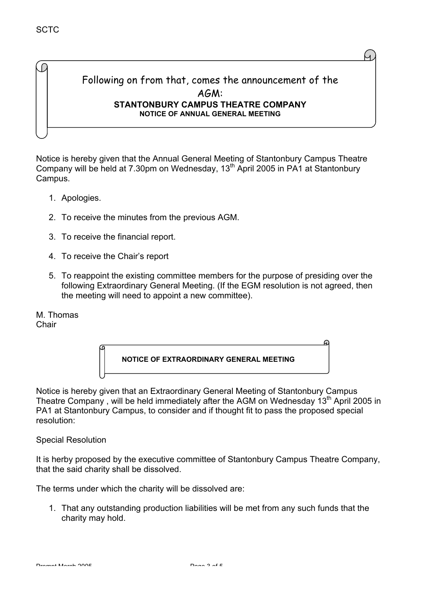### Following on from that, comes the announcement of the AGM: **STANTONBURY CAMPUS THEATRE COMPANY NOTICE OF ANNUAL GENERAL MEETING**

Notice is hereby given that the Annual General Meeting of Stantonbury Campus Theatre Company will be held at 7.30pm on Wednesday, 13th April 2005 in PA1 at Stantonbury Campus.

- 1. Apologies.
- 2. To receive the minutes from the previous AGM.
- 3. To receive the financial report.
- 4. To receive the Chair's report
- 5. To reappoint the existing committee members for the purpose of presiding over the following Extraordinary General Meeting. (If the EGM resolution is not agreed, then the meeting will need to appoint a new committee).

M. Thomas Chair



Notice is hereby given that an Extraordinary General Meeting of Stantonbury Campus Theatre Company, will be held immediately after the AGM on Wednesday  $13<sup>th</sup>$  April 2005 in PA1 at Stantonbury Campus, to consider and if thought fit to pass the proposed special resolution:

Special Resolution

It is herby proposed by the executive committee of Stantonbury Campus Theatre Company, that the said charity shall be dissolved.

The terms under which the charity will be dissolved are:

1. That any outstanding production liabilities will be met from any such funds that the charity may hold.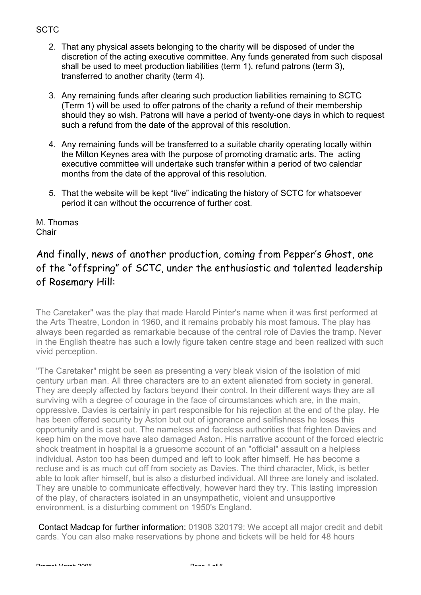#### **SCTC**

- 2. That any physical assets belonging to the charity will be disposed of under the discretion of the acting executive committee. Any funds generated from such disposal shall be used to meet production liabilities (term 1), refund patrons (term 3), transferred to another charity (term 4).
- 3. Any remaining funds after clearing such production liabilities remaining to SCTC (Term 1) will be used to offer patrons of the charity a refund of their membership should they so wish. Patrons will have a period of twenty-one days in which to request such a refund from the date of the approval of this resolution.
- 4. Any remaining funds will be transferred to a suitable charity operating locally within the Milton Keynes area with the purpose of promoting dramatic arts. The acting executive committee will undertake such transfer within a period of two calendar months from the date of the approval of this resolution.
- 5. That the website will be kept "live" indicating the history of SCTC for whatsoever period it can without the occurrence of further cost.

M. Thomas **Chair** 

# And finally, news of another production, coming from Pepper's Ghost, one of the "offspring" of SCTC, under the enthusiastic and talented leadership of Rosemary Hill:

The Caretaker" was the play that made Harold Pinter's name when it was first performed at the Arts Theatre, London in 1960, and it remains probably his most famous. The play has always been regarded as remarkable because of the central role of Davies the tramp. Never in the English theatre has such a lowly figure taken centre stage and been realized with such vivid perception.

"The Caretaker" might be seen as presenting a very bleak vision of the isolation of mid century urban man. All three characters are to an extent alienated from society in general. They are deeply affected by factors beyond their control. In their different ways they are all surviving with a degree of courage in the face of circumstances which are, in the main, oppressive. Davies is certainly in part responsible for his rejection at the end of the play. He has been offered security by Aston but out of ignorance and selfishness he loses this opportunity and is cast out. The nameless and faceless authorities that frighten Davies and keep him on the move have also damaged Aston. His narrative account of the forced electric shock treatment in hospital is a gruesome account of an "official" assault on a helpless individual. Aston too has been dumped and left to look after himself. He has become a recluse and is as much cut off from society as Davies. The third character, Mick, is better able to look after himself, but is also a disturbed individual. All three are lonely and isolated. They are unable to communicate effectively, however hard they try. This lasting impression of the play, of characters isolated in an unsympathetic, violent and unsupportive environment, is a disturbing comment on 1950's England.

 Contact Madcap for further information: 01908 320179: We accept all major credit and debit cards. You can also make reservations by phone and tickets will be held for 48 hours